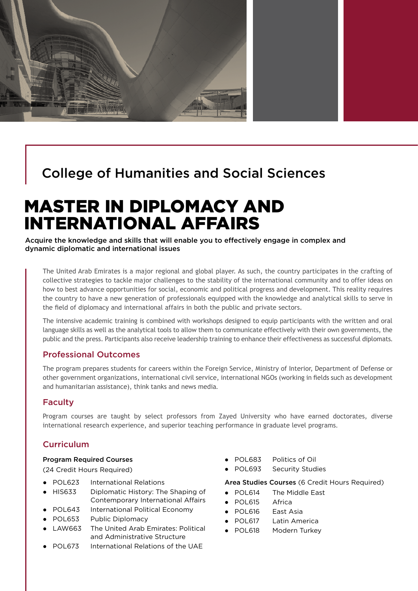

## College of Humanities and Social Sciences

# MASTER IN DIPLOMACY AND INTERNATIONAL AFFAIRS

Acquire the knowledge and skills that will enable you to effectively engage in complex and dynamic diplomatic and international issues

The United Arab Emirates is a major regional and global player. As such, the country participates in the crafting of collective strategies to tackle major challenges to the stability of the international community and to offer ideas on how to best advance opportunities for social, economic and political progress and development. This reality requires the country to have a new generation of professionals equipped with the knowledge and analytical skills to serve in the field of diplomacy and international affairs in both the public and private sectors.

The intensive academic training is combined with workshops designed to equip participants with the written and oral language skills as well as the analytical tools to allow them to communicate effectively with their own governments, the public and the press. Participants also receive leadership training to enhance their effectiveness as successful diplomats.

#### Professional Outcomes

The program prepares students for careers within the Foreign Service, Ministry of Interior, Department of Defense or other government organizations, international civil service, international NGOs (working in fields such as development and humanitarian assistance), think tanks and news media.

#### Faculty

Program courses are taught by select professors from Zayed University who have earned doctorates, diverse international research experience, and superior teaching performance in graduate level programs.

#### Curriculum

#### Program Required Courses

(24 Credit Hours Required)

- POL623 International Relations
- HIS633 Diplomatic History: The Shaping of Contemporary International Affairs
- POL643 International Political Economy
- POL653 Public Diplomacy
- LAW663 The United Arab Emirates: Political and Administrative Structure
- POL673 International Relations of the UAE
- POL683 Politics of Oil
- POL693 Security Studies

Area Studies Courses (6 Credit Hours Required)

- POL614 The Middle East
- POL615 Africa
- POL616 East Asia
- POL617 Latin America
- POL618 Modern Turkey